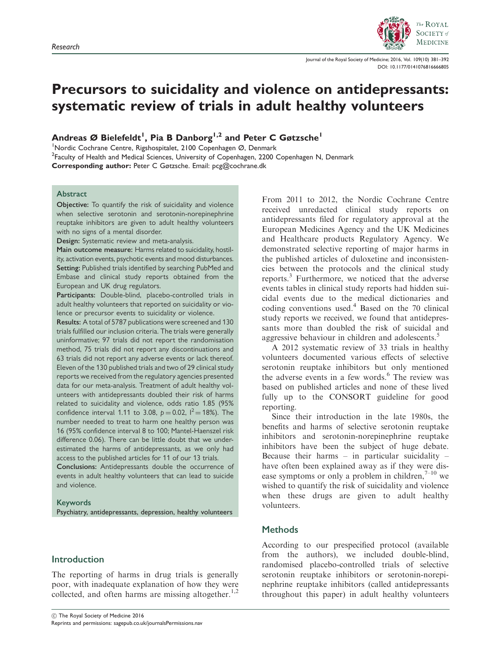

Journal of the Royal Society of Medicine; 2016, Vol. 109(10) 381–392 DOI: 10.1177/0141076816666805

# Precursors to suicidality and violence on antidepressants: systematic review of trials in adult healthy volunteers

Andreas Ø Bielefeldt<sup>1</sup>, Pia B Danborg<sup>1,2</sup> and Peter C Gøtzsche<sup>1</sup>

1 Nordic Cochrane Centre, Rigshospitalet, 2100 Copenhagen Ø, Denmark

<sup>2</sup>Faculty of Health and Medical Sciences, University of Copenhagen, 2200 Copenhagen N, Denmark

Corresponding author: Peter C Gøtzsche. Email: pcg@cochrane.dk

#### Abstract

Objective: To quantify the risk of suicidality and violence when selective serotonin and serotonin-norepinephrine reuptake inhibitors are given to adult healthy volunteers with no signs of a mental disorder.

Design: Systematic review and meta-analysis.

Main outcome measure: Harms related to suicidality, hostility, activation events, psychotic events and mood disturbances. Setting: Published trials identified by searching PubMed and Embase and clinical study reports obtained from the European and UK drug regulators.

Participants: Double-blind, placebo-controlled trials in adult healthy volunteers that reported on suicidality or violence or precursor events to suicidality or violence.

Results: A total of 5787 publications were screened and 130 trials fulfilled our inclusion criteria. The trials were generally uninformative; 97 trials did not report the randomisation method, 75 trials did not report any discontinuations and 63 trials did not report any adverse events or lack thereof. Eleven of the 130 published trials and two of 29 clinical study reports we received from the regulatory agencies presented data for our meta-analysis. Treatment of adult healthy volunteers with antidepressants doubled their risk of harms related to suicidality and violence, odds ratio 1.85 (95% confidence interval 1.11 to 3.08,  $p = 0.02$ ,  $1^2 = 18\%$ ). The number needed to treat to harm one healthy person was 16 (95% confidence interval 8 to 100; Mantel-Haenszel risk difference 0.06). There can be little doubt that we underestimated the harms of antidepressants, as we only had access to the published articles for 11 of our 13 trials.

Conclusions: Antidepressants double the occurrence of events in adult healthy volunteers that can lead to suicide and violence.

#### Keywords

Psychiatry, antidepressants, depression, healthy volunteers

## Introduction

The reporting of harms in drug trials is generally poor, with inadequate explanation of how they were collected, and often harms are missing altogether.<sup>1,2</sup>

From 2011 to 2012, the Nordic Cochrane Centre received unredacted clinical study reports on antidepressants filed for regulatory approval at the European Medicines Agency and the UK Medicines and Healthcare products Regulatory Agency. We demonstrated selective reporting of major harms in the published articles of duloxetine and inconsistencies between the protocols and the clinical study reports.<sup>3</sup> Furthermore, we noticed that the adverse events tables in clinical study reports had hidden suicidal events due to the medical dictionaries and coding conventions used.<sup>4</sup> Based on the 70 clinical study reports we received, we found that antidepressants more than doubled the risk of suicidal and aggressive behaviour in children and adolescents.<sup>5</sup>

A 2012 systematic review of 33 trials in healthy volunteers documented various effects of selective serotonin reuptake inhibitors but only mentioned the adverse events in a few words.<sup>6</sup> The review was based on published articles and none of these lived fully up to the CONSORT guideline for good reporting.

Since their introduction in the late 1980s, the benefits and harms of selective serotonin reuptake inhibitors and serotonin-norepinephrine reuptake inhibitors have been the subject of huge debate. Because their harms – in particular suicidality – have often been explained away as if they were disease symptoms or only a problem in children,  $7^{-10}$  we wished to quantify the risk of suicidality and violence when these drugs are given to adult healthy volunteers.

# **Methods**

According to our prespecified protocol (available from the authors), we included double-blind, randomised placebo-controlled trials of selective serotonin reuptake inhibitors or serotonin-norepinephrine reuptake inhibitors (called antidepressants throughout this paper) in adult healthy volunteers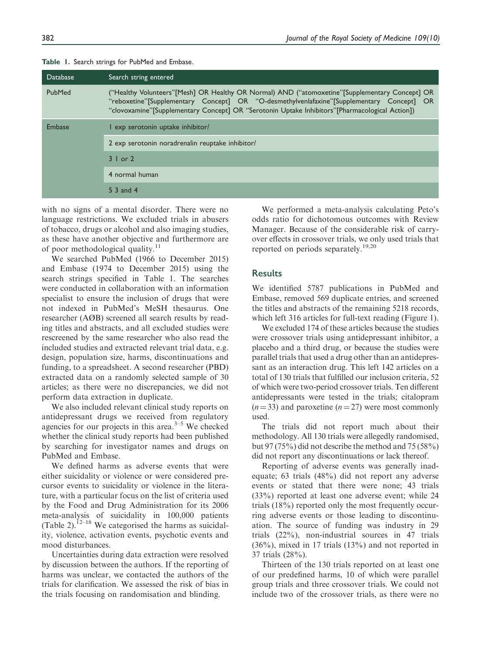| Search string entered                                                                                                                                                                                                                                                                         |  |  |  |  |  |  |
|-----------------------------------------------------------------------------------------------------------------------------------------------------------------------------------------------------------------------------------------------------------------------------------------------|--|--|--|--|--|--|
| ("Healthy Volunteers"[Mesh] OR Healthy OR Normal) AND ("atomoxetine"[Supplementary Concept] OR<br>"reboxetine"[Supplementary Concept] OR "O-desmethylvenlafaxine"[Supplementary Concept] OR<br>"clovoxamine"[Supplementary Concept] OR "Serotonin Uptake Inhibitors"[Pharmacological Action]) |  |  |  |  |  |  |
| exp serotonin uptake inhibitor/                                                                                                                                                                                                                                                               |  |  |  |  |  |  |
| 2 exp serotonin noradrenalin reuptake inhibitor/                                                                                                                                                                                                                                              |  |  |  |  |  |  |
| $3 \mid$ or $2 \mid$                                                                                                                                                                                                                                                                          |  |  |  |  |  |  |
| 4 normal human                                                                                                                                                                                                                                                                                |  |  |  |  |  |  |
| 5 3 and 4                                                                                                                                                                                                                                                                                     |  |  |  |  |  |  |
|                                                                                                                                                                                                                                                                                               |  |  |  |  |  |  |

Table 1. Search strings for PubMed and Embase.

with no signs of a mental disorder. There were no language restrictions. We excluded trials in abusers of tobacco, drugs or alcohol and also imaging studies, as these have another objective and furthermore are of poor methodological quality.<sup>11</sup>

We searched PubMed (1966 to December 2015) and Embase (1974 to December 2015) using the search strings specified in Table 1. The searches were conducted in collaboration with an information specialist to ensure the inclusion of drugs that were not indexed in PubMed's MeSH thesaurus. One researcher (AØB) screened all search results by reading titles and abstracts, and all excluded studies were rescreened by the same researcher who also read the included studies and extracted relevant trial data, e.g. design, population size, harms, discontinuations and funding, to a spreadsheet. A second researcher (PBD) extracted data on a randomly selected sample of 30 articles; as there were no discrepancies, we did not perform data extraction in duplicate.

We also included relevant clinical study reports on antidepressant drugs we received from regulatory agencies for our projects in this area. $3-5$  We checked whether the clinical study reports had been published by searching for investigator names and drugs on PubMed and Embase.

We defined harms as adverse events that were either suicidality or violence or were considered precursor events to suicidality or violence in the literature, with a particular focus on the list of criteria used by the Food and Drug Administration for its 2006 meta-analysis of suicidality in 100,000 patients (Table 2).<sup>12–18</sup> We categorised the harms as suicidality, violence, activation events, psychotic events and mood disturbances.

Uncertainties during data extraction were resolved by discussion between the authors. If the reporting of harms was unclear, we contacted the authors of the trials for clarification. We assessed the risk of bias in the trials focusing on randomisation and blinding.

We performed a meta-analysis calculating Peto's odds ratio for dichotomous outcomes with Review Manager. Because of the considerable risk of carryover effects in crossover trials, we only used trials that reported on periods separately.<sup>19,20</sup>

### **Results**

We identified 5787 publications in PubMed and Embase, removed 569 duplicate entries, and screened the titles and abstracts of the remaining 5218 records, which left 316 articles for full-text reading (Figure 1).

We excluded 174 of these articles because the studies were crossover trials using antidepressant inhibitor, a placebo and a third drug, or because the studies were parallel trials that used a drug other than an antidepressant as an interaction drug. This left 142 articles on a total of 130 trials that fulfilled our inclusion criteria, 52 of which were two-period crossover trials. Ten different antidepressants were tested in the trials; citalopram  $(n = 33)$  and paroxetine  $(n = 27)$  were most commonly used.

The trials did not report much about their methodology. All 130 trials were allegedly randomised, but 97 (75%) did not describe the method and 75 (58%) did not report any discontinuations or lack thereof.

Reporting of adverse events was generally inadequate; 63 trials (48%) did not report any adverse events or stated that there were none; 43 trials (33%) reported at least one adverse event; while 24 trials (18%) reported only the most frequently occurring adverse events or those leading to discontinuation. The source of funding was industry in 29 trials (22%), non-industrial sources in 47 trials (36%), mixed in 17 trials (13%) and not reported in 37 trials (28%).

Thirteen of the 130 trials reported on at least one of our predefined harms, 10 of which were parallel group trials and three crossover trials. We could not include two of the crossover trials, as there were no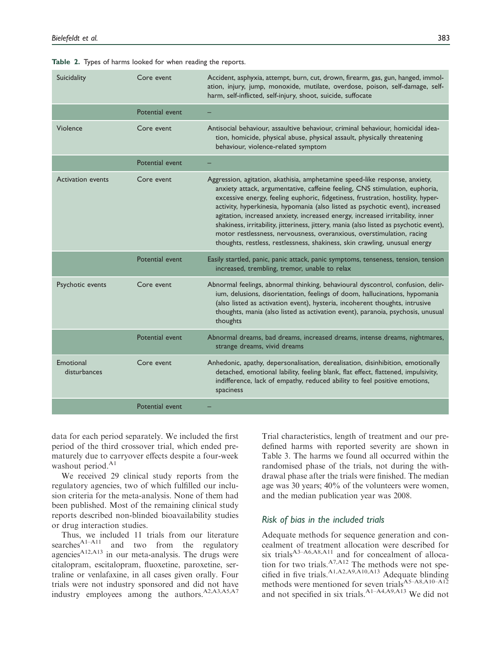| Suicidality               | Core event      | Accident, asphyxia, attempt, burn, cut, drown, firearm, gas, gun, hanged, immol-<br>ation, injury, jump, monoxide, mutilate, overdose, poison, self-damage, self-<br>harm, self-inflicted, self-injury, shoot, suicide, suffocate                                                                                                                                                                                                                                                                                                                                                                                                                                |
|---------------------------|-----------------|------------------------------------------------------------------------------------------------------------------------------------------------------------------------------------------------------------------------------------------------------------------------------------------------------------------------------------------------------------------------------------------------------------------------------------------------------------------------------------------------------------------------------------------------------------------------------------------------------------------------------------------------------------------|
|                           | Potential event |                                                                                                                                                                                                                                                                                                                                                                                                                                                                                                                                                                                                                                                                  |
| Violence                  | Core event      | Antisocial behaviour, assaultive behaviour, criminal behaviour, homicidal idea-<br>tion, homicide, physical abuse, physical assault, physically threatening<br>behaviour, violence-related symptom                                                                                                                                                                                                                                                                                                                                                                                                                                                               |
|                           | Potential event |                                                                                                                                                                                                                                                                                                                                                                                                                                                                                                                                                                                                                                                                  |
| <b>Activation events</b>  | Core event      | Aggression, agitation, akathisia, amphetamine speed-like response, anxiety,<br>anxiety attack, argumentative, caffeine feeling, CNS stimulation, euphoria,<br>excessive energy, feeling euphoric, fidgetiness, frustration, hostility, hyper-<br>activity, hyperkinesia, hypomania (also listed as psychotic event), increased<br>agitation, increased anxiety, increased energy, increased irritability, inner<br>shakiness, irritability, jitteriness, jittery, mania (also listed as psychotic event),<br>motor restlessness, nervousness, overanxious, overstimulation, racing<br>thoughts, restless, restlessness, shakiness, skin crawling, unusual energy |
|                           | Potential event | Easily startled, panic, panic attack, panic symptoms, tenseness, tension, tension<br>increased, trembling, tremor, unable to relax                                                                                                                                                                                                                                                                                                                                                                                                                                                                                                                               |
| Psychotic events          | Core event      | Abnormal feelings, abnormal thinking, behavioural dyscontrol, confusion, delir-<br>ium, delusions, disorientation, feelings of doom, hallucinations, hypomania<br>(also listed as activation event), hysteria, incoherent thoughts, intrusive<br>thoughts, mania (also listed as activation event), paranoia, psychosis, unusual<br>thoughts                                                                                                                                                                                                                                                                                                                     |
|                           | Potential event | Abnormal dreams, bad dreams, increased dreams, intense dreams, nightmares,<br>strange dreams, vivid dreams                                                                                                                                                                                                                                                                                                                                                                                                                                                                                                                                                       |
| Emotional<br>disturbances | Core event      | Anhedonic, apathy, depersonalisation, derealisation, disinhibition, emotionally<br>detached, emotional lability, feeling blank, flat effect, flattened, impulsivity,<br>indifference, lack of empathy, reduced ability to feel positive emotions,<br>spaciness                                                                                                                                                                                                                                                                                                                                                                                                   |
|                           | Potential event |                                                                                                                                                                                                                                                                                                                                                                                                                                                                                                                                                                                                                                                                  |

|  |  |  | Table 2. Types of harms looked for when reading the reports. |  |  |  |  |  |
|--|--|--|--------------------------------------------------------------|--|--|--|--|--|
|--|--|--|--------------------------------------------------------------|--|--|--|--|--|

data for each period separately. We included the first period of the third crossover trial, which ended prematurely due to carryover effects despite a four-week washout period.<sup>A1</sup>

We received 29 clinical study reports from the regulatory agencies, two of which fulfilled our inclusion criteria for the meta-analysis. None of them had been published. Most of the remaining clinical study reports described non-blinded bioavailability studies or drug interaction studies.

Thus, we included 11 trials from our literature searches<sup>A1–A11</sup> and two from the regulatory agencies<sup>A12,A13</sup> in our meta-analysis. The drugs were citalopram, escitalopram, fluoxetine, paroxetine, sertraline or venlafaxine, in all cases given orally. Four trials were not industry sponsored and did not have industry employees among the authors.<sup>A2,A3,A5,A7</sup>

Trial characteristics, length of treatment and our predefined harms with reported severity are shown in Table 3. The harms we found all occurred within the randomised phase of the trials, not during the withdrawal phase after the trials were finished. The median age was 30 years; 40% of the volunteers were women, and the median publication year was 2008.

### Risk of bias in the included trials

Adequate methods for sequence generation and concealment of treatment allocation were described for six trials<sup>A3–A6,A8,A11</sup> and for concealment of allocation for two trials. $A^{7,A12}$  The methods were not specified in five trials. $A1, A2, A9, A10, A13$  Adequate blinding methods were mentioned for seven trials<sup>A5–A8,A10–A12</sup> and not specified in six trials.A1–A4,A9,A13 We did not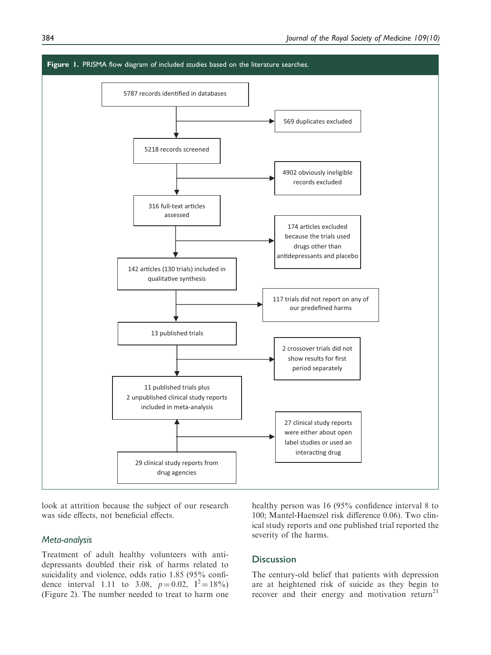

look at attrition because the subject of our research was side effects, not beneficial effects.

## Meta-analysis

Treatment of adult healthy volunteers with antidepressants doubled their risk of harms related to suicidality and violence, odds ratio 1.85 (95% confidence interval 1.11 to 3.08,  $p=0.02$ ,  $I^2=18\%$ (Figure 2). The number needed to treat to harm one healthy person was 16 (95% confidence interval 8 to 100; Mantel-Haenszel risk difference 0.06). Two clinical study reports and one published trial reported the severity of the harms.

## **Discussion**

The century-old belief that patients with depression are at heightened risk of suicide as they begin to recover and their energy and motivation return<sup>21</sup>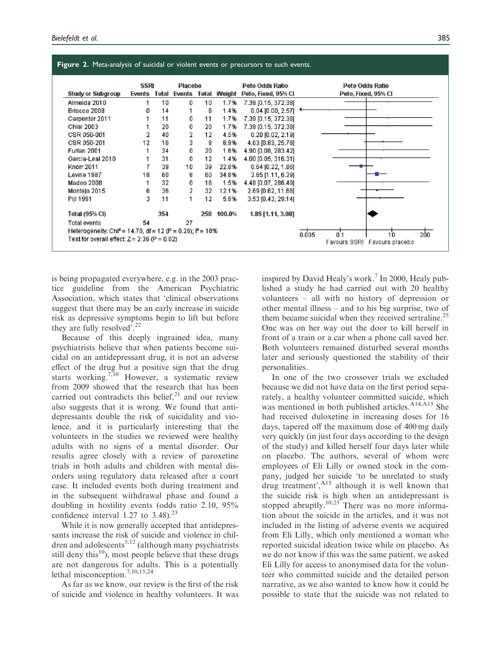|                          | <b>SSRI</b>    |       | <b>Placebo</b> |     |                            | Peto Odds Ratio     | Peto Odds Ratio     |
|--------------------------|----------------|-------|----------------|-----|----------------------------|---------------------|---------------------|
| <b>Study or Subgroup</b> | <b>Events</b>  | Total |                |     | <b>Events Total Weight</b> | Peto, Fixed, 95% CI | Peto, Fixed, 95% CI |
| Almeida 2010             |                | 10    | 0              | 10  | 1.7%                       | 7.39 [0.15, 372.38] |                     |
| Briscoe 2008             | Ω              | 14    |                | 6   | 1.4%                       | $0.04$ [0.00, 2.57] |                     |
| Carpenter 2011           |                | 11    | 0              | 11  | 1.7%                       | 7.39 [0.15, 372.38] |                     |
| <b>Chial 2003</b>        |                | 20    | 0              | 20  | 1.7%                       | 7.39 [0.15, 372.38] |                     |
| CSR 050-001              | $\overline{2}$ | 40    | 2              | 12  | 4.5%                       | $0.20$ [0.02, 2.19] |                     |
| CSR 050-201              | 12             | 16    | 3              | 8   | 8.9%                       | 4.63 [0.83, 25.78]  |                     |
| Furlan 2001              |                | 34    | 0              | 20  | 1.6%                       | 4.90 [0.08, 283.42] |                     |
| Garcia-Leal 2010         |                | 31    | 0              | 12  | 1.4%                       | 4.00 [0.05, 316.31] |                     |
| <b>Knorr 2011</b>        |                | 39    | 10             | 39  | 22.8%                      | $0.64$ [0.22, 1.86] |                     |
| Levine 1987              | 18             | 60    | 8              | 60  | 34.8%                      | 2.65 [1.11, 6.29]   |                     |
| Madeo 2008               |                | 32    | 0              | 16  | 1.5%                       | 4.48 [0.07, 286.49] |                     |
| Montejo 2015             | 6              | 36    | 2              | 32  | 12.1%                      | 2.69 [0.62, 11.66]  |                     |
| Pijl 1991                | 3              | 11    |                | 12  | 5.8%                       | 3.53 [0.43, 29.14]  |                     |
| <b>Total (95% CI)</b>    |                | 354   |                | 258 | 100.0%                     | 1.85 [1.11, 3.08]   |                     |
| <b>Total events</b>      | 54             |       | 27             |     |                            |                     |                     |

is being propagated everywhere, e.g. in the 2003 practice guideline from the American Psychiatric Association, which states that 'clinical observations suggest that there may be an early increase in suicide risk as depressive symptoms begin to lift but before they are fully resolved'.<sup>22</sup>

Because of this deeply ingrained idea, many psychiatrists believe that when patients become suicidal on an antidepressant drug, it is not an adverse effect of the drug but a positive sign that the drug starts working.<sup>7,10</sup> However, a systematic review from 2009 showed that the research that has been carried out contradicts this belief, $2<sup>1</sup>$  and our review also suggests that it is wrong. We found that antidepressants double the risk of suicidality and violence, and it is particularly interesting that the volunteers in the studies we reviewed were healthy adults with no signs of a mental disorder. Our results agree closely with a review of paroxetine trials in both adults and children with mental disorders using regulatory data released after a court case. It included events both during treatment and in the subsequent withdrawal phase and found a doubling in hostility events (odds ratio 2.10, 95% confidence interval 1.27 to  $3.48$ .<sup>23</sup>

While it is now generally accepted that antidepressants increase the risk of suicide and violence in children and adolescents<sup>5,12</sup> (although many psychiatrists still deny this $^{10}$ ), most people believe that these drugs are not dangerous for adults. This is a potentially lethal misconception.<sup>7,10,15,24</sup>

As far as we know, our review is the first of the risk of suicide and violence in healthy volunteers. It was inspired by David Healy's work.<sup>7</sup> In 2000, Healy published a study he had carried out with 20 healthy volunteers – all with no history of depression or other mental illness – and to his big surprise, two of them became suicidal when they received sertraline.<sup>25</sup> One was on her way out the door to kill herself in front of a train or a car when a phone call saved her. Both volunteers remained disturbed several months later and seriously questioned the stability of their personalities.

In one of the two crossover trials we excluded because we did not have data on the first period separately, a healthy volunteer committed suicide, which was mentioned in both published articles.<sup>A14,A15</sup> She had received duloxetine in increasing doses for 16 days, tapered off the maximum dose of 400 mg daily very quickly (in just four days according to the design of the study) and killed herself four days later while on placebo. The authors, several of whom were employees of Eli Lilly or owned stock in the company, judged her suicide 'to be unrelated to study drug treatment', $A_{15}$  although it is well known that the suicide risk is high when an antidepressant is stopped abruptly.<sup>10,23</sup> There was no more information about the suicide in the articles, and it was not included in the listing of adverse events we acquired from Eli Lilly, which only mentioned a woman who reported suicidal ideation twice while on placebo. As we do not know if this was the same patient, we asked Eli Lilly for access to anonymised data for the volunteer who committed suicide and the detailed person narrative, as we also wanted to know how it could be possible to state that the suicide was not related to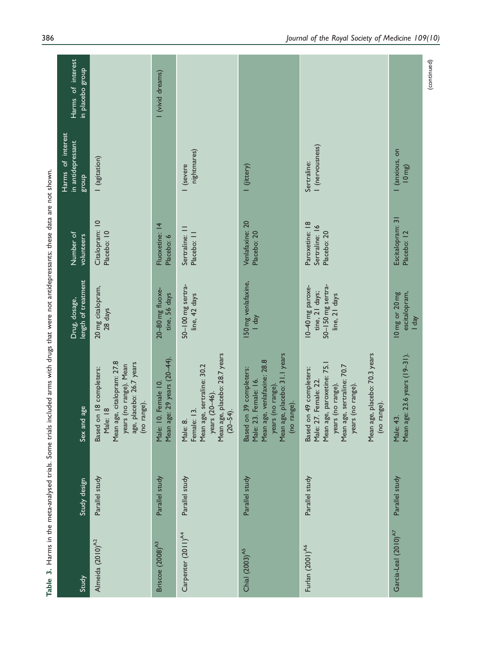| i<br>S                                                                                |  |
|---------------------------------------------------------------------------------------|--|
|                                                                                       |  |
| l                                                                                     |  |
|                                                                                       |  |
| l                                                                                     |  |
|                                                                                       |  |
|                                                                                       |  |
|                                                                                       |  |
|                                                                                       |  |
|                                                                                       |  |
|                                                                                       |  |
|                                                                                       |  |
|                                                                                       |  |
| l                                                                                     |  |
|                                                                                       |  |
| ֚֓                                                                                    |  |
| i<br>$\vdots$                                                                         |  |
|                                                                                       |  |
| ١                                                                                     |  |
|                                                                                       |  |
| ۱                                                                                     |  |
|                                                                                       |  |
| l<br>֕                                                                                |  |
| ֖֖֖֖֖֖֧ׅ֖ׅ֚֚֚֚֚֚֚֚֚֚֚֚֚֚֚֚֚֚֚֚֚֚֬֝֝֓֬֝֓֬֝֓֬֝֓֬                                        |  |
|                                                                                       |  |
|                                                                                       |  |
|                                                                                       |  |
| $\vdots$<br>Į                                                                         |  |
|                                                                                       |  |
|                                                                                       |  |
| l                                                                                     |  |
| ֖֖֖֖֖֖֖֖֧֖֖֧֚֚֚֚֚֚֚֚֚֚֚֚֚֚֚֚֚֚֚֚֚֚֬֕֓֕֬֝֓֞֝֓֬                                         |  |
| S                                                                                     |  |
|                                                                                       |  |
|                                                                                       |  |
|                                                                                       |  |
|                                                                                       |  |
|                                                                                       |  |
|                                                                                       |  |
| ١                                                                                     |  |
|                                                                                       |  |
| $\frac{1}{2}$                                                                         |  |
| ֦֦֦֪ׅ֖֖֪֪ׅ֖֖֖֖֖֧֪֦֧֚֚֚֚֚֚֚֚֚֚֡֕֝֬֝֬֝֬֝֬֝֬֝֬֝֓֬֝֬֝֬֝֓֝֓֞֝֬֝֓֞֬֝֓֞֬֝֓֞֝֬֝֬֝֓֞֝֬֝֬֝֬֝֬֝֬ |  |
|                                                                                       |  |
| I                                                                                     |  |
| ろう                                                                                    |  |
| maa#a an:                                                                             |  |
| j<br>1                                                                                |  |
| í<br>֚֕֡֡                                                                             |  |
|                                                                                       |  |
|                                                                                       |  |
|                                                                                       |  |
| j<br>í                                                                                |  |
|                                                                                       |  |
| ١<br>í                                                                                |  |
|                                                                                       |  |
| $\frac{6}{2}$<br>l                                                                    |  |
|                                                                                       |  |

| Study                            | Study design   | nd age<br>Sex an                                                                                                                                                                                                    | length of treatment<br>Drug, dosage,                                     | Number of<br>volunteers                         | Harms of interest<br>in antidepressant<br>dno.18 | Harms of interest<br>in placebo group |
|----------------------------------|----------------|---------------------------------------------------------------------------------------------------------------------------------------------------------------------------------------------------------------------|--------------------------------------------------------------------------|-------------------------------------------------|--------------------------------------------------|---------------------------------------|
| Almeida (2010) <sup>A2</sup>     | Parallel study | Mean age, citalopram: 27.8<br>age, placebo: 26.7 years<br>years (no range). Mean<br>Based on 18 completers:<br>range).<br>Male: 18<br>$\overline{c}$                                                                | 20 mg citalopram,<br>28 days                                             | Citalopram: 10<br>Placebo: 10                   | (agitation)                                      |                                       |
| Briscoe (2008) <sup>A3</sup>     | Parallel study | age: 29 years (20-44)<br>10. Female 10.<br>Mean<br>Male:                                                                                                                                                            | 20-80 mg fluoxe-<br>tine, 56 days                                        | Fluoxetine: 14<br>Placebo: 6                    |                                                  | I (vivid dreams)                      |
| Carpenter (2011) <sup>A4</sup>   | Parallel study | Mean age, placebo: 28.7 years<br>Mean age, sertraline: 30.2<br>years (20–46).<br>Female: 13.<br>$(20 - 54)$ .<br>Male: 8.                                                                                           | 50-100 mg sertra-<br>line, 42 days                                       | Sertraline:   <br>Placebo: 11                   | nightmares)<br>I (severe                         |                                       |
| Chial (2003) <sup>A5</sup>       | Parallel study | Mean age, placebo: 31.1 years<br>Mean age, venlafaxine: 28.8<br>on 39 completers:<br>Male: 23. Female: 16.<br>years (no range).<br>(no range).<br><b>Based</b>                                                      | 150 mg venlafaxine,<br>$1$ day                                           | Venlafaxine: 20<br>Placebo: 20                  | I (jittery)                                      |                                       |
| Furlan $(2001)^{A6}$             | Parallel study | Mean age, placebo: 70.3 years<br>Mean age, paroxetine: 75.1<br>Mean age, sertraline: 70.7<br>on 49 completers:<br>Male: 27. Female: 22.<br>years (no range).<br>years (no range).<br>range).<br>$\epsilon$<br>Based | 50-150 mg sertra-<br>10–40 mg paroxe-<br>tine, 21 days;<br>line, 21 days | Paroxetine: 18<br>Sertraline: 16<br>Placebo: 20 | I (nervousness)<br>Sertraline:                   |                                       |
| Garcia-Leal (2010) <sup>A7</sup> | Parallel study | Mean age: 23.6 years (19-31).<br>Male: 43.                                                                                                                                                                          | escitalopram,<br>10 mg or 20 mg<br>Vep <sub>1</sub>                      | Escitalopram: 31<br>Placebo: 12                 | I (anxious, on<br>$10 \, mg$                     |                                       |
|                                  |                |                                                                                                                                                                                                                     |                                                                          |                                                 |                                                  | (continued)                           |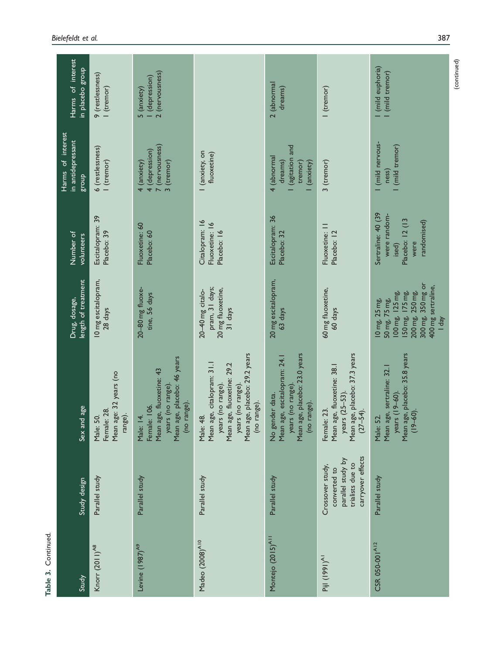| Harms of interest<br>in placebo group                  | 9 (restlessness)<br>I (tremor)                                | 2 (nervousness)<br>I (depression)<br>5 (anxiety)                                                                         |                                                                                                                                                                              | 2 (abnormal<br>dreams)                                                                                              | I (tremor)                                                                                                | (mild euphoria)<br>(mild tremor)                                                                                                            |
|--------------------------------------------------------|---------------------------------------------------------------|--------------------------------------------------------------------------------------------------------------------------|------------------------------------------------------------------------------------------------------------------------------------------------------------------------------|---------------------------------------------------------------------------------------------------------------------|-----------------------------------------------------------------------------------------------------------|---------------------------------------------------------------------------------------------------------------------------------------------|
| Harms of interest<br>in antidepressant<br><b>dno.8</b> | 6 (restlessness)<br>I (tremor)                                | 7 (nervousness)<br>4 (depression)<br>4 (anxiety)<br>3 (tremor)                                                           | I (anxiety, on<br>fluoxetine)                                                                                                                                                | (agitation and<br>4 (abnormal<br>dreams)<br>tremor)<br>(anxiety)                                                    | 3 (tremor)                                                                                                | I (mild nervous-<br>I (mild tremor)<br>ness)                                                                                                |
| Number of<br>volunteers                                | Escitalopram: 39<br>Placebo: 39                               | Fluoxetine: 60<br>Placebo: 60                                                                                            | Citalopram: 16<br>Fluoxetine: 16<br>Placebo: 16                                                                                                                              | Escitalopram: 36<br>Placebo: 32                                                                                     | Fluoxetine: II<br>Placebo: 12                                                                             | Sertraline: 40 (39<br>were random-<br>Placebo: 12 (13<br>randomised)<br>were<br>ised)                                                       |
| length of treatment<br>Drug, dosage,                   | 10 mg escitalopram,<br>28 days                                | 20-80 mg fluoxe-<br>tine, 56 days                                                                                        | pram, 31 days;<br>20 mg fluoxetine,<br>20-40 mg citalo-<br>31 days                                                                                                           | 20 mg escitalopram,<br>63 days                                                                                      | 60 mg fluoxetine,<br>60 days                                                                              | 300 mg, 350 mg or<br>400 mg sertraline,<br>200 mg, 250 mg,<br>150 mg, 175 mg,<br>100 mg, 125 mg,<br>50 mg, 75 mg,<br>10 mg, 25 mg,<br>I day |
| Sex and age                                            | Mean age: 32 years (no<br>Female: 28.<br>range).<br>Male: 50. | Mean age, placebo: 46 years<br>Mean age, fluoxetine: 43<br>years (no range).<br>(no range).<br>Female: 106.<br>Male: 14. | Mean age, placebo: 29.2 years<br>Mean age, citalopram: 31.1<br>Mean age, fluoxetine: 29.2<br>years (no range).<br>years (no range)<br>(no range).<br>$\frac{48}{1}$<br>Male: | Mean age, placebo: 23.0 years<br>Mean age, escitalopram: 24.1<br>years (no range)<br>No gender data.<br>(no range). | Mean age, placebo: 37.3 years<br>Mean age, fluoxetine: 38.1<br>years (25-53)<br>$(27-54)$ .<br>Female: 23 | Mean age, placebo: 35.8 years<br>Mean age, sertraline: 32.<br>years (19-60).<br>$(19-60)$ .<br>Male: 52.                                    |
| Study design                                           | Parallel study                                                | Parallel study                                                                                                           | Parallel study                                                                                                                                                               | Parallel study                                                                                                      | carryover effects<br>parallel study by<br>trialists due to<br>Crossover study,<br>converted to            | Parallel study                                                                                                                              |
| Study                                                  | Knorr (2011) <sup>A8</sup>                                    | Levine $(1987)^{A9}$                                                                                                     | Madeo (2008) <sup>A10</sup>                                                                                                                                                  | Montejo (2015) <sup>A11</sup>                                                                                       | Pijl (1991) <sup>A1</sup>                                                                                 | CSR 050-001A12                                                                                                                              |

Table 3. Continued.

Table 3. Continued.

(continued)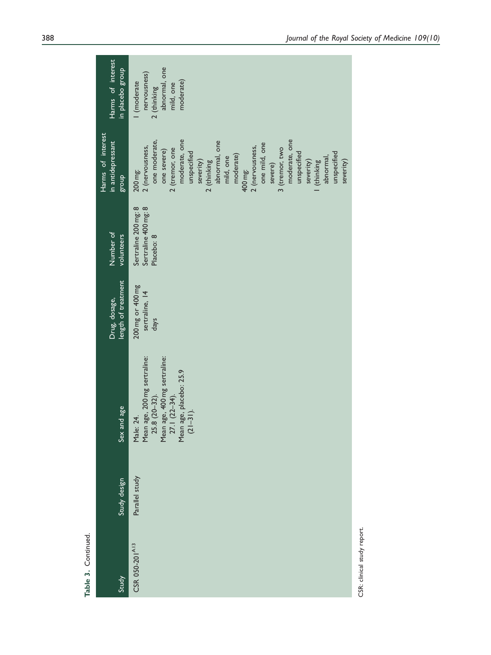| Harms of interest<br>in placebo group           | abnormal, one<br>nervousness)<br>moderate)<br>I (moderate<br>mild, one<br>2 (thinking                                                                                                                                                                                                                                                                              |
|-------------------------------------------------|--------------------------------------------------------------------------------------------------------------------------------------------------------------------------------------------------------------------------------------------------------------------------------------------------------------------------------------------------------------------|
| Harms of interest<br>in antidepressant<br>dno.8 | moderate, one<br>moderate, one<br>one moderate,<br>abnormal, one<br>one mild, one<br>2 (nervousness,<br>2 (nervousness,<br>3 (tremor, two<br>2 (tremor, one<br>one severe)<br>unspecified<br>unspecified<br>unspecified<br>moderate)<br>mild, one<br>abnormal,<br>severity)<br>severity)<br>2 (thinking<br>severity)<br>(thinking<br>severe)<br>400 mg:<br>200 mg: |
| Number of<br>volunteers                         | Sertraline 200 mg: 8<br>Sertraline 400 mg: 8<br>Placebo: 8                                                                                                                                                                                                                                                                                                         |
| length of treatment<br>Drug, dosage,            | 200 mg or 400 mg<br>sertraline, 14<br>days                                                                                                                                                                                                                                                                                                                         |
| Sex and age                                     | Mean age, 200 mg sertraline:<br>25.8 (20–32).<br>age, 400 mg sertraline:<br>Mean age, placebo: 25.9<br>Mean age, 400 m <sub>2</sub><br>27.1 (22–34).<br>$(21-31)$ .<br>Male: 24.                                                                                                                                                                                   |
| Study design                                    | Parallel study                                                                                                                                                                                                                                                                                                                                                     |
| Study                                           | CSR 050-201A13                                                                                                                                                                                                                                                                                                                                                     |

CSR: clinical study report. CSR: clinical study report.

Table 3. Continued.

Table 3. Continued.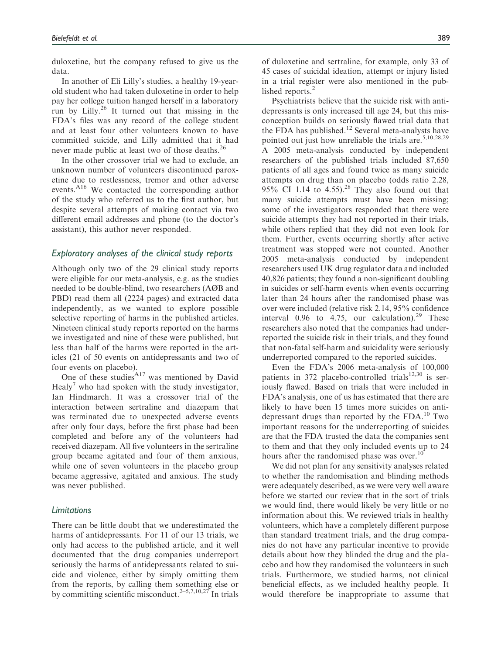duloxetine, but the company refused to give us the data.

In another of Eli Lilly's studies, a healthy 19-yearold student who had taken duloxetine in order to help pay her college tuition hanged herself in a laboratory run by Lilly.<sup>26</sup> It turned out that missing in the FDA's files was any record of the college student and at least four other volunteers known to have committed suicide, and Lilly admitted that it had never made public at least two of those deaths.<sup>26</sup>

In the other crossover trial we had to exclude, an unknown number of volunteers discontinued paroxetine due to restlessness, tremor and other adverse events.A16 We contacted the corresponding author of the study who referred us to the first author, but despite several attempts of making contact via two different email addresses and phone (to the doctor's assistant), this author never responded.

## Exploratory analyses of the clinical study reports

Although only two of the 29 clinical study reports were eligible for our meta-analysis, e.g. as the studies needed to be double-blind, two researchers (AØB and PBD) read them all (2224 pages) and extracted data independently, as we wanted to explore possible selective reporting of harms in the published articles. Nineteen clinical study reports reported on the harms we investigated and nine of these were published, but less than half of the harms were reported in the articles (21 of 50 events on antidepressants and two of four events on placebo).

One of these studies $A_{17}$  was mentioned by David Healy<sup>7</sup> who had spoken with the study investigator, Ian Hindmarch. It was a crossover trial of the interaction between sertraline and diazepam that was terminated due to unexpected adverse events after only four days, before the first phase had been completed and before any of the volunteers had received diazepam. All five volunteers in the sertraline group became agitated and four of them anxious, while one of seven volunteers in the placebo group became aggressive, agitated and anxious. The study was never published.

#### Limitations

There can be little doubt that we underestimated the harms of antidepressants. For 11 of our 13 trials, we only had access to the published article, and it well documented that the drug companies underreport seriously the harms of antidepressants related to suicide and violence, either by simply omitting them from the reports, by calling them something else or by committing scientific misconduct.<sup>2–5,7,10,27</sup> In trials of duloxetine and sertraline, for example, only 33 of 45 cases of suicidal ideation, attempt or injury listed in a trial register were also mentioned in the published reports.<sup>2</sup>

Psychiatrists believe that the suicide risk with antidepressants is only increased till age 24, but this misconception builds on seriously flawed trial data that the FDA has published.<sup>12</sup> Several meta-analysts have pointed out just how unreliable the trials are.  $5,10,28,29$ A 2005 meta-analysis conducted by independent researchers of the published trials included 87,650 patients of all ages and found twice as many suicide attempts on drug than on placebo (odds ratio 2.28, 95% CI 1.14 to  $4.55$ ).<sup>28</sup> They also found out that many suicide attempts must have been missing; some of the investigators responded that there were suicide attempts they had not reported in their trials, while others replied that they did not even look for them. Further, events occurring shortly after active treatment was stopped were not counted. Another 2005 meta-analysis conducted by independent researchers used UK drug regulator data and included 40,826 patients; they found a non-significant doubling in suicides or self-harm events when events occurring later than 24 hours after the randomised phase was over were included (relative risk 2.14, 95% confidence interval  $0.96$  to  $4.75$ , our calculation).<sup>29</sup> These researchers also noted that the companies had underreported the suicide risk in their trials, and they found that non-fatal self-harm and suicidality were seriously underreported compared to the reported suicides.

Even the FDA's 2006 meta-analysis of 100,000 patients in 372 placebo-controlled trials $12,30$  is seriously flawed. Based on trials that were included in FDA's analysis, one of us has estimated that there are likely to have been 15 times more suicides on antidepressant drugs than reported by the FDA.<sup>10</sup> Two important reasons for the underreporting of suicides are that the FDA trusted the data the companies sent to them and that they only included events up to 24 hours after the randomised phase was over.<sup>10</sup>

We did not plan for any sensitivity analyses related to whether the randomisation and blinding methods were adequately described, as we were very well aware before we started our review that in the sort of trials we would find, there would likely be very little or no information about this. We reviewed trials in healthy volunteers, which have a completely different purpose than standard treatment trials, and the drug companies do not have any particular incentive to provide details about how they blinded the drug and the placebo and how they randomised the volunteers in such trials. Furthermore, we studied harms, not clinical beneficial effects, as we included healthy people. It would therefore be inappropriate to assume that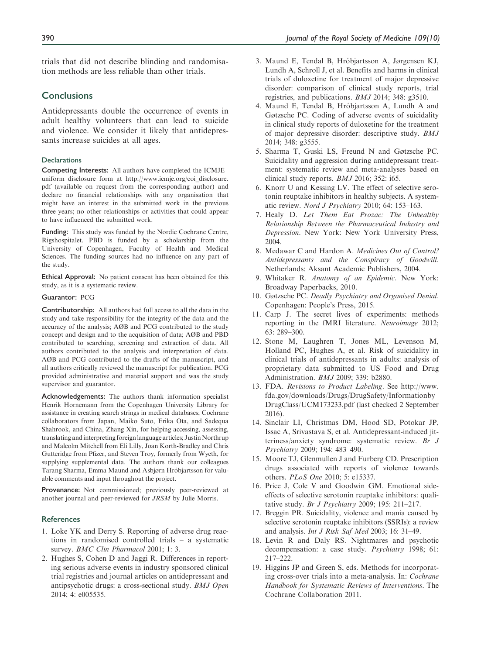trials that did not describe blinding and randomisation methods are less reliable than other trials.

#### **Conclusions**

Antidepressants double the occurrence of events in adult healthy volunteers that can lead to suicide and violence. We consider it likely that antidepressants increase suicides at all ages.

#### **Declarations**

Competing Interests: All authors have completed the ICMJE uniform disclosure form at [http://www.icmje.org/coi\\_disclosure.](http://www.icmje.org/coi_disclosure.pdf) [pdf](http://www.icmje.org/coi_disclosure.pdf) (available on request from the corresponding author) and declare no financial relationships with any organisation that might have an interest in the submitted work in the previous three years; no other relationships or activities that could appear to have influenced the submitted work.

Funding: This study was funded by the Nordic Cochrane Centre, Rigshospitalet. PBD is funded by a scholarship from the University of Copenhagen, Faculty of Health and Medical Sciences. The funding sources had no influence on any part of the study.

Ethical Approval: No patient consent has been obtained for this study, as it is a systematic review.

#### Guarantor: PCG

Contributorship: All authors had full access to all the data in the study and take responsibility for the integrity of the data and the accuracy of the analysis; AØB and PCG contributed to the study concept and design and to the acquisition of data; AØB and PBD contributed to searching, screening and extraction of data. All authors contributed to the analysis and interpretation of data. AØB and PCG contributed to the drafts of the manuscript, and all authors critically reviewed the manuscript for publication. PCG provided administrative and material support and was the study supervisor and guarantor.

Acknowledgements: The authors thank information specialist Henrik Hornemann from the Copenhagen University Library for assistance in creating search strings in medical databases; Cochrane collaborators from Japan, Maiko Suto, Erika Ota, and Sadequa Shahrook, and China, Zhang Xin, for helping accessing, assessing, translating and interpreting foreign language articles; Justin Northrup and Malcolm Mitchell from Eli Lilly, Joan Korth-Bradley and Chris Gutteridge from Pfizer, and Steven Troy, formerly from Wyeth, for supplying supplemental data. The authors thank our colleagues Tarang Sharma, Emma Maund and Asbjørn Hróbjartsson for valuable comments and input throughout the project.

Provenance: Not commissioned; previously peer-reviewed at another journal and peer-reviewed for JRSM by Julie Morris.

#### **References**

- 1. Loke YK and Derry S. Reporting of adverse drug reactions in randomised controlled trials – a systematic survey. BMC Clin Pharmacol 2001; 1: 3.
- 2. Hughes S, Cohen D and Jaggi R. Differences in reporting serious adverse events in industry sponsored clinical trial registries and journal articles on antidepressant and antipsychotic drugs: a cross-sectional study. BMJ Open 2014; 4: e005535.
- 3. Maund E, Tendal B, Hro´bjartsson A, Jørgensen KJ, Lundh A, Schroll J, et al. Benefits and harms in clinical trials of duloxetine for treatment of major depressive disorder: comparison of clinical study reports, trial registries, and publications. BMJ 2014; 348: g3510.
- 4. Maund E, Tendal B, Hróbjartsson A, Lundh A and Gøtzsche PC. Coding of adverse events of suicidality in clinical study reports of duloxetine for the treatment of major depressive disorder: descriptive study. BMJ 2014; 348: g3555.
- 5. Sharma T, Guski LS, Freund N and Gøtzsche PC. Suicidality and aggression during antidepressant treatment: systematic review and meta-analyses based on clinical study reports. BMJ 2016; 352: i65.
- 6. Knorr U and Kessing LV. The effect of selective serotonin reuptake inhibitors in healthy subjects. A systematic review. Nord J Psychiatry 2010; 64: 153–163.
- 7. Healy D. Let Them Eat Prozac: The Unhealthy Relationship Between the Pharmaceutical Industry and Depression. New York: New York University Press, 2004.
- 8. Medawar C and Hardon A. Medicines Out of Control? Antidepressants and the Conspiracy of Goodwill. Netherlands: Aksant Academic Publishers, 2004.
- 9. Whitaker R. Anatomy of an Epidemic. New York: Broadway Paperbacks, 2010.
- 10. Gøtzsche PC. Deadly Psychiatry and Organised Denial. Copenhagen: People's Press, 2015.
- 11. Carp J. The secret lives of experiments: methods reporting in the fMRI literature. Neuroimage 2012; 63: 289–300.
- 12. Stone M, Laughren T, Jones ML, Levenson M, Holland PC, Hughes A, et al. Risk of suicidality in clinical trials of antidepressants in adults: analysis of proprietary data submitted to US Food and Drug Administration. BMJ 2009; 339: b2880.
- 13. FDA. Revisions to Product Labeling. See [http://www.](http://www.fda.gov/downloads/Drugs/DrugSafety/InformationbyDrugClass/UCM173233.pdf) [fda.gov/downloads/Drugs/DrugSafety/Informationby](http://www.fda.gov/downloads/Drugs/DrugSafety/InformationbyDrugClass/UCM173233.pdf) [DrugClass/UCM173233.pdf](http://www.fda.gov/downloads/Drugs/DrugSafety/InformationbyDrugClass/UCM173233.pdf) (last checked 2 September 2016).
- 14. Sinclair LI, Christmas DM, Hood SD, Potokar JP, Issac A, Srivastava S, et al. Antidepressant-induced jitteriness/anxiety syndrome: systematic review. Br J Psychiatry 2009; 194: 483–490.
- 15. Moore TJ, Glenmullen J and Furberg CD. Prescription drugs associated with reports of violence towards others. PLoS One 2010; 5: e15337.
- 16. Price J, Cole V and Goodwin GM. Emotional sideeffects of selective serotonin reuptake inhibitors: qualitative study. Br J Psychiatry 2009; 195: 211–217.
- 17. Breggin PR. Suicidality, violence and mania caused by selective serotonin reuptake inhibitors (SSRIs): a review and analysis. Int J Risk Saf Med 2003; 16: 31–49.
- 18. Levin R and Daly RS. Nightmares and psychotic decompensation: a case study. Psychiatry 1998; 61: 217–222.
- 19. Higgins JP and Green S, eds. Methods for incorporating cross-over trials into a meta-analysis. In: Cochrane Handbook for Systematic Reviews of Interventions. The Cochrane Collaboration 2011.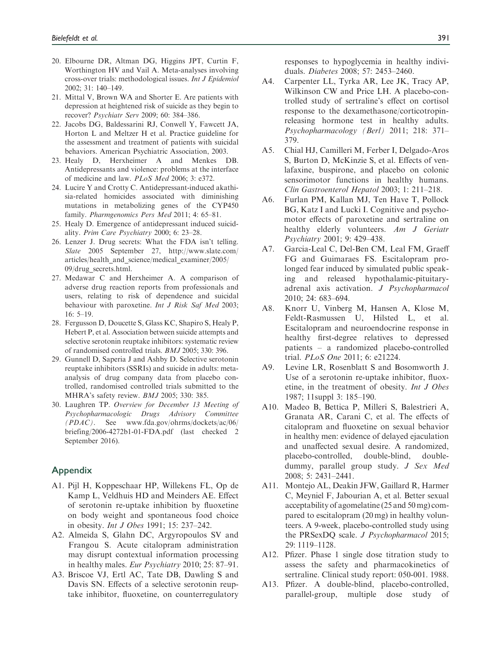- 20. Elbourne DR, Altman DG, Higgins JPT, Curtin F, Worthington HV and Vail A. Meta-analyses involving cross-over trials: methodological issues. Int J Epidemiol 2002; 31: 140–149.
- 21. Mittal V, Brown WA and Shorter E. Are patients with depression at heightened risk of suicide as they begin to recover? Psychiatr Serv 2009; 60: 384–386.
- 22. Jacobs DG, Baldessarini RJ, Conwell Y, Fawcett JA, Horton L and Meltzer H et al. Practice guideline for the assessment and treatment of patients with suicidal behaviors. American Psychiatric Association, 2003.
- 23. Healy D, Herxheimer A and Menkes DB. Antidepressants and violence: problems at the interface of medicine and law. PLoS Med 2006; 3: e372.
- 24. Lucire Y and Crotty C. Antidepressant-induced akathisia-related homicides associated with diminishing mutations in metabolizing genes of the CYP450 family. Pharmgenomics Pers Med 2011; 4: 65–81.
- 25. Healy D. Emergence of antidepressant induced suicidality. Prim Care Psychiatry 2000; 6: 23–28.
- 26. Lenzer J. Drug secrets: What the FDA isn't telling. Slate 2005 September 27, [http://www.slate.com/](http://www.slate.com/articles/health_and_science/medical_examiner/2005/09/drug_secrets.html) [articles/health\\_and\\_science/medical\\_examiner/2005/](http://www.slate.com/articles/health_and_science/medical_examiner/2005/09/drug_secrets.html) [09/drug\\_secrets.html](http://www.slate.com/articles/health_and_science/medical_examiner/2005/09/drug_secrets.html).
- 27. Medawar C and Herxheimer A. A comparison of adverse drug reaction reports from professionals and users, relating to risk of dependence and suicidal behaviour with paroxetine. Int J Risk Saf Med 2003; 16: 5–19.
- 28. Fergusson D, Doucette S, Glass KC, Shapiro S, Healy P, Hebert P, et al. Association between suicide attempts and selective serotonin reuptake inhibitors: systematic review of randomised controlled trials. BMJ 2005; 330: 396.
- 29. Gunnell D, Saperia J and Ashby D. Selective serotonin reuptake inhibitors (SSRIs) and suicide in adults: metaanalysis of drug company data from placebo controlled, randomised controlled trials submitted to the MHRA's safety review. BMJ 2005; 330: 385.
- 30. Laughren TP. Overview for December 13 Meeting of Psychopharmacologic Drugs Advisory Committee (PDAC). See [www.fda.gov/ohrms/dockets/ac/06/](www.fda.gov/ohrms/dockets/ac/06/briefing/2006-4272b1-01-FDA.pdf) [briefing/2006-4272b1-01-FDA.pdf](www.fda.gov/ohrms/dockets/ac/06/briefing/2006-4272b1-01-FDA.pdf) (last checked 2 September 2016).

## Appendix

- A1. Pijl H, Koppeschaar HP, Willekens FL, Op de Kamp L, Veldhuis HD and Meinders AE. Effect of serotonin re-uptake inhibition by fluoxetine on body weight and spontaneous food choice in obesity. Int J Obes 1991; 15: 237–242.
- A2. Almeida S, Glahn DC, Argyropoulos SV and Frangou S. Acute citalopram administration may disrupt contextual information processing in healthy males. Eur Psychiatry 2010; 25: 87–91.
- A3. Briscoe VJ, Ertl AC, Tate DB, Dawling S and Davis SN. Effects of a selective serotonin reuptake inhibitor, fluoxetine, on counterregulatory

responses to hypoglycemia in healthy individuals. Diabetes 2008; 57: 2453–2460.

- A4. Carpenter LL, Tyrka AR, Lee JK, Tracy AP, Wilkinson CW and Price LH. A placebo-controlled study of sertraline's effect on cortisol response to the dexamethasone/corticotropinreleasing hormone test in healthy adults. Psychopharmacology (Berl) 2011; 218: 371– 379.
- A5. Chial HJ, Camilleri M, Ferber I, Delgado-Aros S, Burton D, McKinzie S, et al. Effects of venlafaxine, buspirone, and placebo on colonic sensorimotor functions in healthy humans. Clin Gastroenterol Hepatol 2003; 1: 211–218.
- A6. Furlan PM, Kallan MJ, Ten Have T, Pollock BG, Katz I and Lucki I. Cognitive and psychomotor effects of paroxetine and sertraline on healthy elderly volunteers. Am J Geriatr Psychiatry 2001; 9: 429–438.
- A7. Garcia-Leal C, Del-Ben CM, Leal FM, Graeff FG and Guimaraes FS. Escitalopram prolonged fear induced by simulated public speaking and released hypothalamic-pituitaryadrenal axis activation. J Psychopharmacol 2010; 24: 683–694.
- A8. Knorr U, Vinberg M, Hansen A, Klose M, Feldt-Rasmussen U, Hilsted L, et al. Escitalopram and neuroendocrine response in healthy first-degree relatives to depressed patients – a randomized placebo-controlled trial. PLoS One 2011; 6: e21224.
- A9. Levine LR, Rosenblatt S and Bosomworth J. Use of a serotonin re-uptake inhibitor, fluoxetine, in the treatment of obesity. Int J Obes 1987; 11suppl 3: 185–190.
- A10. Madeo B, Bettica P, Milleri S, Balestrieri A, Granata AR, Carani C, et al. The effects of citalopram and fluoxetine on sexual behavior in healthy men: evidence of delayed ejaculation and unaffected sexual desire. A randomized, placebo-controlled, double-blind, doubledummy, parallel group study. J Sex Med 2008; 5: 2431–2441.
- A11. Montejo AL, Deakin JFW, Gaillard R, Harmer C, Meyniel F, Jabourian A, et al. Better sexual acceptability of agomelatine (25 and 50 mg) compared to escitalopram (20 mg) in healthy volunteers. A 9-week, placebo-controlled study using the PRSexDQ scale. J Psychopharmacol 2015; 29: 1119–1128.
- A12. Pfizer. Phase 1 single dose titration study to assess the safety and pharmacokinetics of sertraline. Clinical study report: 050-001. 1988.
- A13. Pfizer. A double-blind, placebo-controlled, parallel-group, multiple dose study of